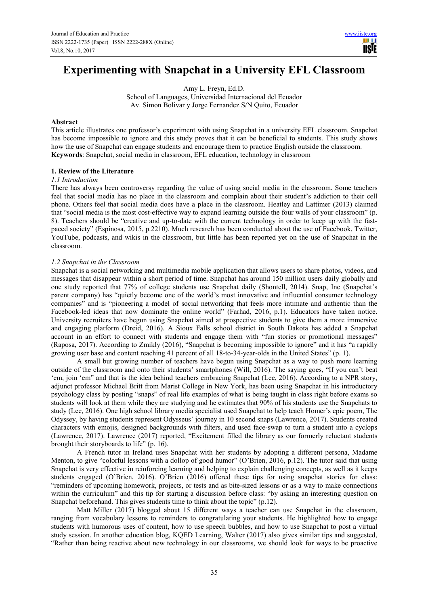# **Experimenting with Snapchat in a University EFL Classroom**

Amy L. Freyn, Ed.D.

School of Languages, Universidad Internacional del Ecuador Av. Simon Bolivar y Jorge Fernandez S/N Quito, Ecuador

## **Abstract**

This article illustrates one professor's experiment with using Snapchat in a university EFL classroom. Snapchat has become impossible to ignore and this study proves that it can be beneficial to students. This study shows how the use of Snapchat can engage students and encourage them to practice English outside the classroom. **Keywords**: Snapchat, social media in classroom, EFL education, technology in classroom

# **1. Review of the Literature**

## *1.1 Introduction*

There has always been controversy regarding the value of using social media in the classroom. Some teachers feel that social media has no place in the classroom and complain about their student's addiction to their cell phone. Others feel that social media does have a place in the classroom. Heatley and Lattimer (2013) claimed that "social media is the most cost-effective way to expand learning outside the four walls of your classroom" (p. 8). Teachers should be "creative and up-to-date with the current technology in order to keep up with the fastpaced society" (Espinosa, 2015, p.2210). Much research has been conducted about the use of Facebook, Twitter, YouTube, podcasts, and wikis in the classroom, but little has been reported yet on the use of Snapchat in the classroom.

## *1.2 Snapchat in the Classroom*

Snapchat is a social networking and multimedia mobile application that allows users to share photos, videos, and messages that disappear within a short period of time. Snapchat has around 150 million users daily globally and one study reported that 77% of college students use Snapchat daily (Shontell, 2014). Snap, Inc (Snapchat's parent company) has "quietly become one of the world's most innovative and influential consumer technology companies" and is "pioneering a model of social networking that feels more intimate and authentic than the Facebook-led ideas that now dominate the online world" (Farhad, 2016, p.1). Educators have taken notice. University recruiters have begun using Snapchat aimed at prospective students to give them a more immersive and engaging platform (Dreid, 2016). A Sioux Falls school district in South Dakota has added a Snapchat account in an effort to connect with students and engage them with "fun stories or promotional messages" (Raposa, 2017). According to Zmikly (2016), "Snapchat is becoming impossible to ignore" and it has "a rapidly growing user base and content reaching 41 percent of all 18-to-34-year-olds in the United States" (p. 1).

A small but growing number of teachers have begun using Snapchat as a way to push more learning outside of the classroom and onto their students' smartphones (Will, 2016). The saying goes, "If you can't beat 'em, join 'em" and that is the idea behind teachers embracing Snapchat (Lee, 2016). According to a NPR story, adjunct professor Michael Britt from Marist College in New York, has been using Snapchat in his introductory psychology class by posting "snaps" of real life examples of what is being taught in class right before exams so students will look at them while they are studying and he estimates that 90% of his students use the Snapchats to study (Lee, 2016). One high school library media specialist used Snapchat to help teach Homer's epic poem, The Odyssey, by having students represent Odysseus' journey in 10 second snaps (Lawrence, 2017). Students created characters with emojis, designed backgrounds with filters, and used face-swap to turn a student into a cyclops (Lawrence, 2017). Lawrence (2017) reported, "Excitement filled the library as our formerly reluctant students brought their storyboards to life" (p. 16).

A French tutor in Ireland uses Snapchat with her students by adopting a different persona, Madame Menton, to give "colorful lessons with a dollop of good humor" (O'Brien, 2016, p.12). The tutor said that using Snapchat is very effective in reinforcing learning and helping to explain challenging concepts, as well as it keeps students engaged (O'Brien, 2016). O'Brien (2016) offered these tips for using snapchat stories for class: "reminders of upcoming homework, projects, or tests and as bite-sized lessons or as a way to make connections within the curriculum" and this tip for starting a discussion before class: "by asking an interesting question on Snapchat beforehand. This gives students time to think about the topic" (p.12).

 Matt Miller (2017) blogged about 15 different ways a teacher can use Snapchat in the classroom, ranging from vocabulary lessons to reminders to congratulating your students. He highlighted how to engage students with humorous uses of content, how to use speech bubbles, and how to use Snapchat to post a virtual study session. In another education blog, KQED Learning, Walter (2017) also gives similar tips and suggested, "Rather than being reactive about new technology in our classrooms, we should look for ways to be proactive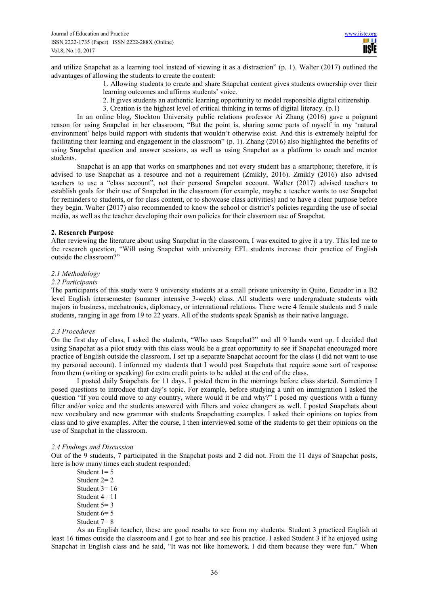and utilize Snapchat as a learning tool instead of viewing it as a distraction" (p. 1). Walter (2017) outlined the advantages of allowing the students to create the content:

1. Allowing students to create and share Snapchat content gives students ownership over their learning outcomes and affirms students' voice.

- 2. It gives students an authentic learning opportunity to model responsible digital citizenship.
- 3. Creation is the highest level of critical thinking in terms of digital literacy. (p.1)

In an online blog, Stockton University public relations professor Ai Zhang (2016) gave a poignant reason for using Snapchat in her classroom, "But the point is, sharing some parts of myself in my 'natural environment' helps build rapport with students that wouldn't otherwise exist. And this is extremely helpful for facilitating their learning and engagement in the classroom" (p. 1). Zhang (2016) also highlighted the benefits of using Snapchat question and answer sessions, as well as using Snapchat as a platform to coach and mentor students.

 Snapchat is an app that works on smartphones and not every student has a smartphone; therefore, it is advised to use Snapchat as a resource and not a requirement (Zmikly, 2016). Zmikly (2016) also advised teachers to use a "class account", not their personal Snapchat account. Walter (2017) advised teachers to establish goals for their use of Snapchat in the classroom (for example, maybe a teacher wants to use Snapchat for reminders to students, or for class content, or to showcase class activities) and to have a clear purpose before they begin. Walter (2017) also recommended to know the school or district's policies regarding the use of social media, as well as the teacher developing their own policies for their classroom use of Snapchat.

## **2. Research Purpose**

After reviewing the literature about using Snapchat in the classroom, I was excited to give it a try. This led me to the research question, "Will using Snapchat with university EFL students increase their practice of English outside the classroom?"

#### *2.1 Methodology*

#### *2.2 Participants*

The participants of this study were 9 university students at a small private university in Quito, Ecuador in a B2 level English intersemester (summer intensive 3-week) class. All students were undergraduate students with majors in business, mechatronics, diplomacy, or international relations. There were 4 female students and 5 male students, ranging in age from 19 to 22 years. All of the students speak Spanish as their native language.

#### *2.3 Procedures*

On the first day of class, I asked the students, "Who uses Snapchat?" and all 9 hands went up. I decided that using Snapchat as a pilot study with this class would be a great opportunity to see if Snapchat encouraged more practice of English outside the classroom. I set up a separate Snapchat account for the class (I did not want to use my personal account). I informed my students that I would post Snapchats that require some sort of response from them (writing or speaking) for extra credit points to be added at the end of the class.

 I posted daily Snapchats for 11 days. I posted them in the mornings before class started. Sometimes I posed questions to introduce that day's topic. For example, before studying a unit on immigration I asked the question "If you could move to any country, where would it be and why?" I posed my questions with a funny filter and/or voice and the students answered with filters and voice changers as well. I posted Snapchats about new vocabulary and new grammar with students Snapchatting examples. I asked their opinions on topics from class and to give examples. After the course, I then interviewed some of the students to get their opinions on the use of Snapchat in the classroom.

#### *2.4 Findings and Discussion*

Out of the 9 students, 7 participated in the Snapchat posts and 2 did not. From the 11 days of Snapchat posts, here is how many times each student responded:

Student  $1=5$  Student 2= 2 Student  $3=16$  Student 4= 11 Student  $5=3$ Student 6= 5 Student 7= 8

As an English teacher, these are good results to see from my students. Student 3 practiced English at least 16 times outside the classroom and I got to hear and see his practice. I asked Student 3 if he enjoyed using Snapchat in English class and he said, "It was not like homework. I did them because they were fun." When